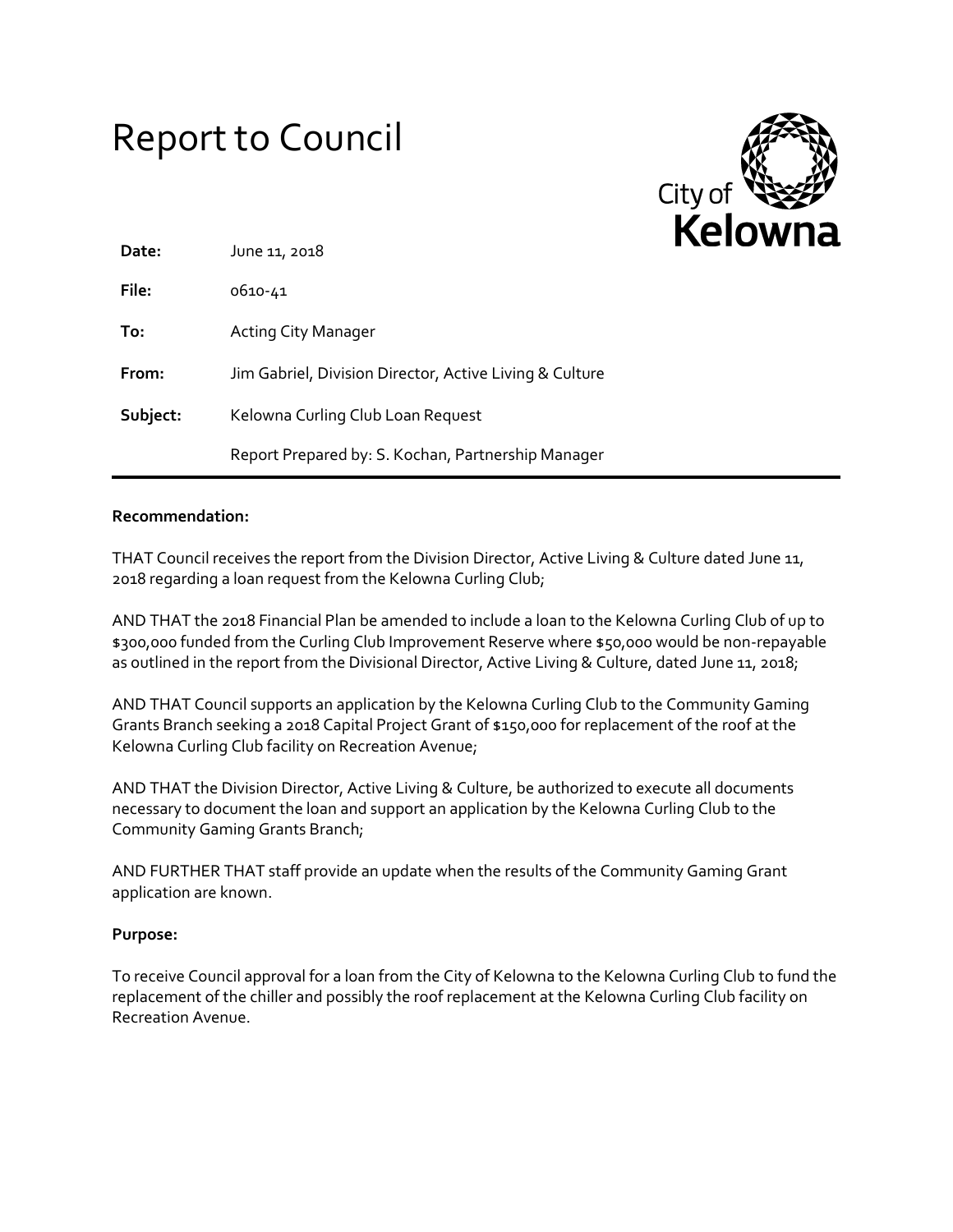# Report to Council



| Date:    | June 11, 2018                                           |  |
|----------|---------------------------------------------------------|--|
| File:    | 0610-41                                                 |  |
| To:      | <b>Acting City Manager</b>                              |  |
| From:    | Jim Gabriel, Division Director, Active Living & Culture |  |
| Subject: | Kelowna Curling Club Loan Request                       |  |
|          | Report Prepared by: S. Kochan, Partnership Manager      |  |

## **Recommendation:**

THAT Council receives the report from the Division Director, Active Living & Culture dated June 11, 2018 regarding a loan request from the Kelowna Curling Club;

AND THAT the 2018 Financial Plan be amended to include a loan to the Kelowna Curling Club of up to \$300,000 funded from the Curling Club Improvement Reserve where \$50,000 would be non-repayable as outlined in the report from the Divisional Director, Active Living & Culture, dated June 11, 2018;

AND THAT Council supports an application by the Kelowna Curling Club to the Community Gaming Grants Branch seeking a 2018 Capital Project Grant of \$150,000 for replacement of the roof at the Kelowna Curling Club facility on Recreation Avenue;

AND THAT the Division Director, Active Living & Culture, be authorized to execute all documents necessary to document the loan and support an application by the Kelowna Curling Club to the Community Gaming Grants Branch;

AND FURTHER THAT staff provide an update when the results of the Community Gaming Grant application are known.

# **Purpose:**

To receive Council approval for a loan from the City of Kelowna to the Kelowna Curling Club to fund the replacement of the chiller and possibly the roof replacement at the Kelowna Curling Club facility on Recreation Avenue.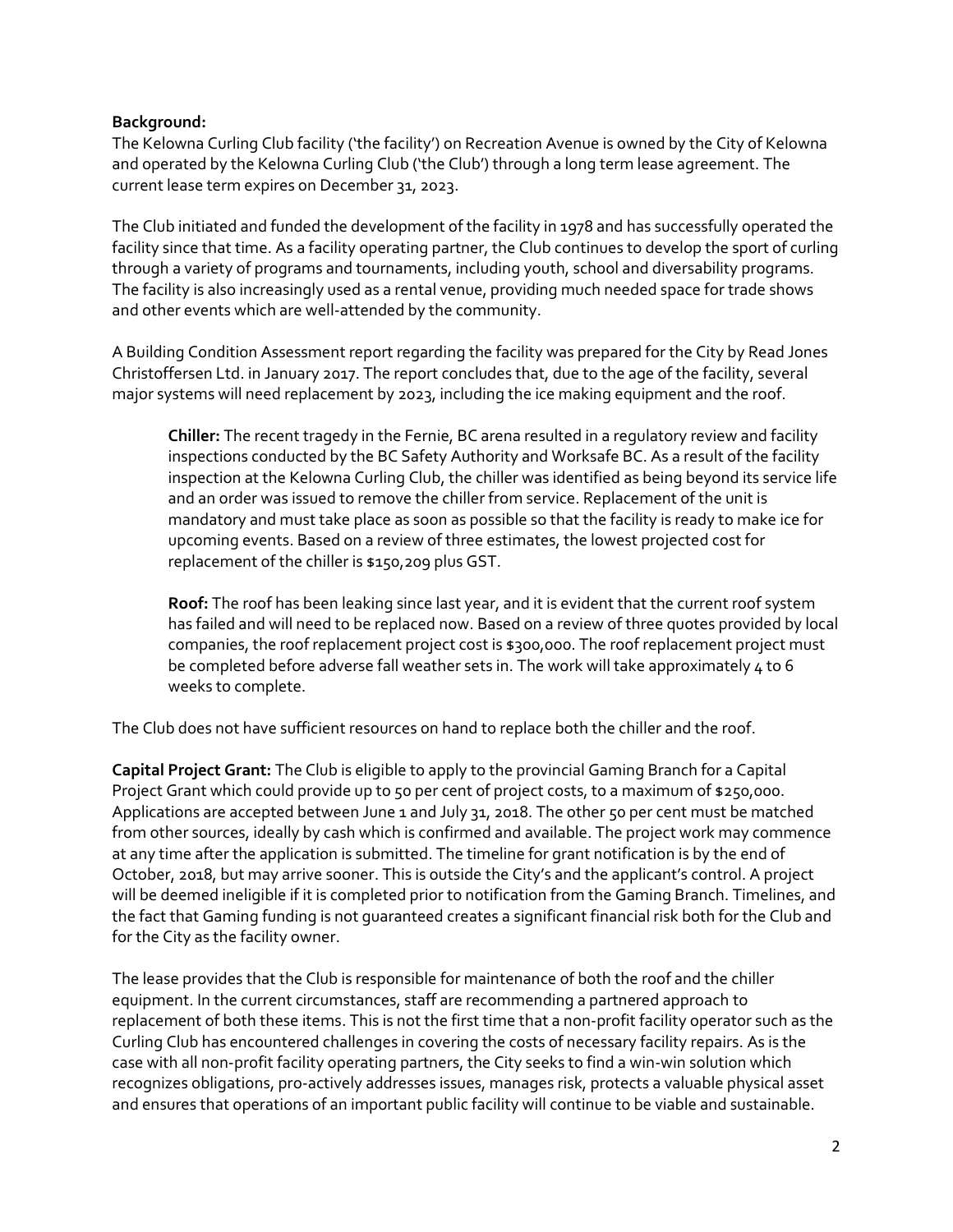# **Background:**

The Kelowna Curling Club facility ('the facility') on Recreation Avenue is owned by the City of Kelowna and operated by the Kelowna Curling Club ('the Club') through a long term lease agreement. The current lease term expires on December 31, 2023.

The Club initiated and funded the development of the facility in 1978 and has successfully operated the facility since that time. As a facility operating partner, the Club continues to develop the sport of curling through a variety of programs and tournaments, including youth, school and diversability programs. The facility is also increasingly used as a rental venue, providing much needed space for trade shows and other events which are well-attended by the community.

A Building Condition Assessment report regarding the facility was prepared for the City by Read Jones Christoffersen Ltd. in January 2017. The report concludes that, due to the age of the facility, several major systems will need replacement by 2023, including the ice making equipment and the roof.

**Chiller:** The recent tragedy in the Fernie, BC arena resulted in a regulatory review and facility inspections conducted by the BC Safety Authority and Worksafe BC. As a result of the facility inspection at the Kelowna Curling Club, the chiller was identified as being beyond its service life and an order was issued to remove the chiller from service. Replacement of the unit is mandatory and must take place as soon as possible so that the facility is ready to make ice for upcoming events. Based on a review of three estimates, the lowest projected cost for replacement of the chiller is \$150,209 plus GST.

**Roof:** The roof has been leaking since last year, and it is evident that the current roof system has failed and will need to be replaced now. Based on a review of three quotes provided by local companies, the roof replacement project cost is \$300,0o0. The roof replacement project must be completed before adverse fall weather sets in. The work will take approximately 4 to 6 weeks to complete.

The Club does not have sufficient resources on hand to replace both the chiller and the roof.

**Capital Project Grant:** The Club is eligible to apply to the provincial Gaming Branch for a Capital Project Grant which could provide up to 50 per cent of project costs, to a maximum of \$250,000. Applications are accepted between June 1 and July 31, 2018. The other 50 per cent must be matched from other sources, ideally by cash which is confirmed and available. The project work may commence at any time after the application is submitted. The timeline for grant notification is by the end of October, 2018, but may arrive sooner. This is outside the City's and the applicant's control. A project will be deemed ineligible if it is completed prior to notification from the Gaming Branch. Timelines, and the fact that Gaming funding is not guaranteed creates a significant financial risk both for the Club and for the City as the facility owner.

The lease provides that the Club is responsible for maintenance of both the roof and the chiller equipment. In the current circumstances, staff are recommending a partnered approach to replacement of both these items. This is not the first time that a non-profit facility operator such as the Curling Club has encountered challenges in covering the costs of necessary facility repairs. As is the case with all non-profit facility operating partners, the City seeks to find a win-win solution which recognizes obligations, pro-actively addresses issues, manages risk, protects a valuable physical asset and ensures that operations of an important public facility will continue to be viable and sustainable.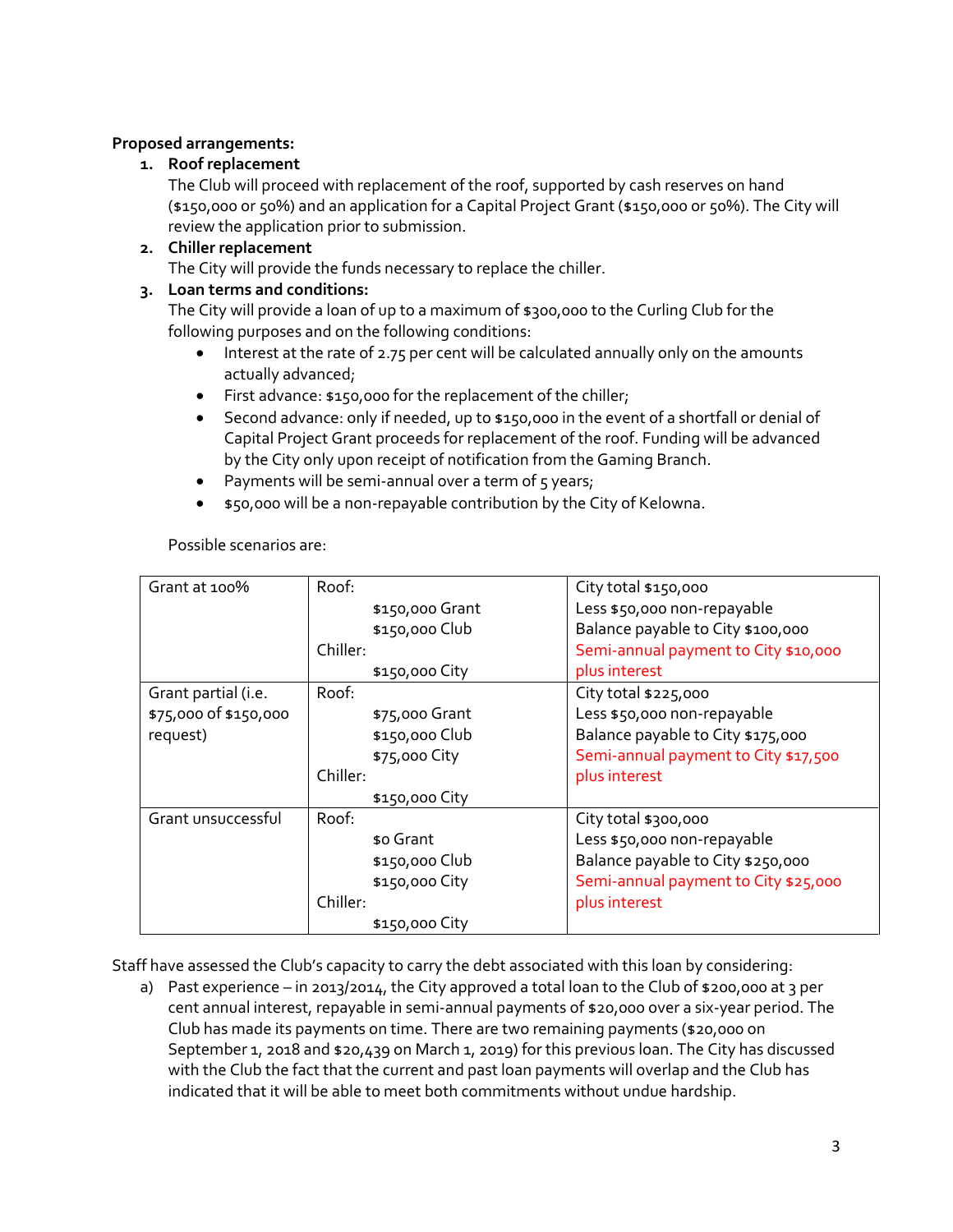# **Proposed arrangements:**

# **1. Roof replacement**

The Club will proceed with replacement of the roof, supported by cash reserves on hand (\$150,000 or 50%) and an application for a Capital Project Grant (\$150,000 or 50%). The City will review the application prior to submission.

# **2. Chiller replacement**

The City will provide the funds necessary to replace the chiller.

# **3. Loan terms and conditions:**

The City will provide a loan of up to a maximum of \$300,000 to the Curling Club for the following purposes and on the following conditions:

- Interest at the rate of 2.75 per cent will be calculated annually only on the amounts actually advanced;
- First advance: \$150,000 for the replacement of the chiller;
- Second advance: only if needed, up to \$150,000 in the event of a shortfall or denial of Capital Project Grant proceeds for replacement of the roof. Funding will be advanced by the City only upon receipt of notification from the Gaming Branch.
- Payments will be semi-annual over a term of  $5$  years;
- \$50,000 will be a non-repayable contribution by the City of Kelowna.

Possible scenarios are:

| Grant at 100%         | Roof:           | City total \$150,000                 |
|-----------------------|-----------------|--------------------------------------|
|                       | \$150,000 Grant | Less \$50,000 non-repayable          |
|                       | \$150,000 Club  | Balance payable to City \$100,000    |
|                       | Chiller:        | Semi-annual payment to City \$10,000 |
|                       | \$150,000 City  | plus interest                        |
| Grant partial (i.e.   | Roof:           | City total \$225,000                 |
| \$75,000 of \$150,000 | \$75,000 Grant  | Less \$50,000 non-repayable          |
| request)              | \$150,000 Club  | Balance payable to City \$175,000    |
|                       | \$75,000 City   | Semi-annual payment to City \$17,500 |
|                       | Chiller:        | plus interest                        |
|                       | \$150,000 City  |                                      |
| Grant unsuccessful    | Roof:           | City total \$300,000                 |
|                       | \$0 Grant       | Less \$50,000 non-repayable          |
|                       | \$150,000 Club  | Balance payable to City \$250,000    |
|                       | \$150,000 City  | Semi-annual payment to City \$25,000 |
|                       | Chiller:        | plus interest                        |
|                       | \$150,000 City  |                                      |

Staff have assessed the Club's capacity to carry the debt associated with this loan by considering:

a) Past experience – in 2013/2014, the City approved a total loan to the Club of \$200,000 at 3 per cent annual interest, repayable in semi-annual payments of \$20,000 over a six-year period. The Club has made its payments on time. There are two remaining payments (\$20,000 on September 1, 2018 and \$20,439 on March 1, 2019) for this previous loan. The City has discussed with the Club the fact that the current and past loan payments will overlap and the Club has indicated that it will be able to meet both commitments without undue hardship.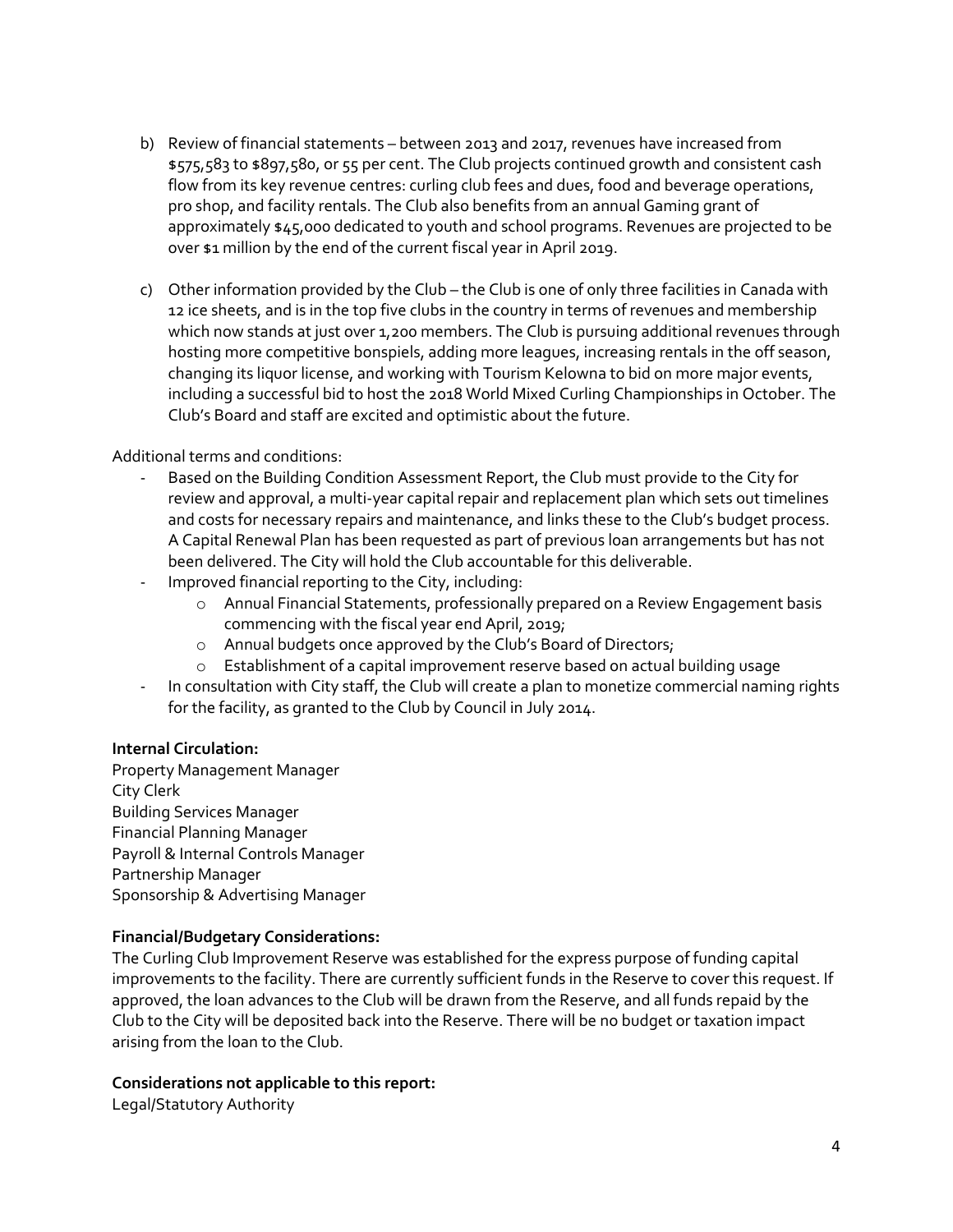- b) Review of financial statements between 2013 and 2017, revenues have increased from \$575,583 to \$897,580, or 55 per cent. The Club projects continued growth and consistent cash flow from its key revenue centres: curling club fees and dues, food and beverage operations, pro shop, and facility rentals. The Club also benefits from an annual Gaming grant of approximately \$45,000 dedicated to youth and school programs. Revenues are projected to be over \$1 million by the end of the current fiscal year in April 2019.
- c) Other information provided by the Club the Club is one of only three facilities in Canada with 12 ice sheets, and is in the top five clubs in the country in terms of revenues and membership which now stands at just over 1,200 members. The Club is pursuing additional revenues through hosting more competitive bonspiels, adding more leagues, increasing rentals in the off season, changing its liquor license, and working with Tourism Kelowna to bid on more major events, including a successful bid to host the 2018 World Mixed Curling Championships in October. The Club's Board and staff are excited and optimistic about the future.

Additional terms and conditions:

- Based on the Building Condition Assessment Report, the Club must provide to the City for review and approval, a multi-year capital repair and replacement plan which sets out timelines and costs for necessary repairs and maintenance, and links these to the Club's budget process. A Capital Renewal Plan has been requested as part of previous loan arrangements but has not been delivered. The City will hold the Club accountable for this deliverable.
- Improved financial reporting to the City, including:
	- o Annual Financial Statements, professionally prepared on a Review Engagement basis commencing with the fiscal year end April, 2019;
	- o Annual budgets once approved by the Club's Board of Directors;
	- o Establishment of a capital improvement reserve based on actual building usage
- In consultation with City staff, the Club will create a plan to monetize commercial naming rights for the facility, as granted to the Club by Council in July 2014.

### **Internal Circulation:**

Property Management Manager City Clerk Building Services Manager Financial Planning Manager Payroll & Internal Controls Manager Partnership Manager Sponsorship & Advertising Manager

# **Financial/Budgetary Considerations:**

The Curling Club Improvement Reserve was established for the express purpose of funding capital improvements to the facility. There are currently sufficient funds in the Reserve to cover this request. If approved, the loan advances to the Club will be drawn from the Reserve, and all funds repaid by the Club to the City will be deposited back into the Reserve. There will be no budget or taxation impact arising from the loan to the Club.

### **Considerations not applicable to this report:**

Legal/Statutory Authority